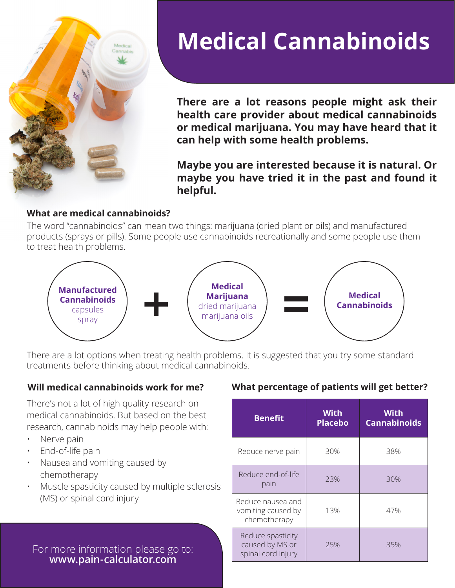

# **Medical Cannabinoids**

**There are a lot reasons people might ask their health care provider about medical cannabinoids or medical marijuana. You may have heard that it can help with some health problems.**

**Maybe you are interested because it is natural. Or maybe you have tried it in the past and found it helpful.**

#### **What are medical cannabinoids?**

The word "cannabinoids" can mean two things: marijuana (dried plant or oils) and manufactured products (sprays or pills). Some people use cannabinoids recreationally and some people use them to treat health problems.



There are a lot options when treating health problems. It is suggested that you try some standard treatments before thinking about medical cannabinoids.

There's not a lot of high quality research on medical cannabinoids. But based on the best research, cannabinoids may help people with:

- Nerve pain
- End-of-life pain
- Nausea and vomiting caused by chemotherapy
- Muscle spasticity caused by multiple sclerosis (MS) or spinal cord injury

For more information please go to: **[www.pain-calculator.com](http://www.pain-calculator.com)**

#### **Will medical cannabinoids work for me? What percentage of patients will get better?**

| <b>Benefit</b>                                             | <b>With</b><br><b>Placebo</b> | <b>With</b><br><b>Cannabinoids</b> |
|------------------------------------------------------------|-------------------------------|------------------------------------|
| Reduce nerve pain                                          | 30%                           | 38%                                |
| Reduce end-of-life<br>pain                                 | 23%                           | 30%                                |
| Reduce nausea and<br>vomiting caused by<br>chemotherapy    | 13%                           | 47%                                |
| Reduce spasticity<br>caused by MS or<br>spinal cord injury | 25%                           | 35%                                |